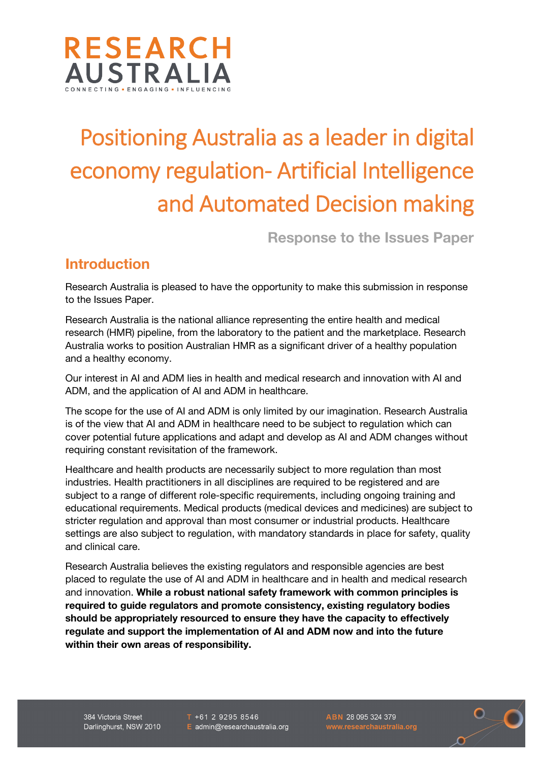

# Positioning Australia as a leader in digital economy regulation- Artificial Intelligence and Automated Decision making

**Response to the Issues Paper**

## **Introduction**

Research Australia is pleased to have the opportunity to make this submission in response to the Issues Paper.

Research Australia is the national alliance representing the entire health and medical research (HMR) pipeline, from the laboratory to the patient and the marketplace. Research Australia works to position Australian HMR as a significant driver of a healthy population and a healthy economy.

Our interest in AI and ADM lies in health and medical research and innovation with AI and ADM, and the application of AI and ADM in healthcare.

The scope for the use of AI and ADM is only limited by our imagination. Research Australia is of the view that AI and ADM in healthcare need to be subject to regulation which can cover potential future applications and adapt and develop as AI and ADM changes without requiring constant revisitation of the framework.

Healthcare and health products are necessarily subject to more regulation than most industries. Health practitioners in all disciplines are required to be registered and are subject to a range of different role-specific requirements, including ongoing training and educational requirements. Medical products (medical devices and medicines) are subject to stricter regulation and approval than most consumer or industrial products. Healthcare settings are also subject to regulation, with mandatory standards in place for safety, quality and clinical care.

Research Australia believes the existing regulators and responsible agencies are best placed to regulate the use of AI and ADM in healthcare and in health and medical research and innovation. **While a robust national safety framework with common principles is required to guide regulators and promote consistency, existing regulatory bodies should be appropriately resourced to ensure they have the capacity to effectively regulate and support the implementation of AI and ADM now and into the future within their own areas of responsibility.**

384 Victoria Street Darlinghurst, NSW 2010  $T + 61292958546$ E admin@researchaustralia.org

ABN 28 095 324 379

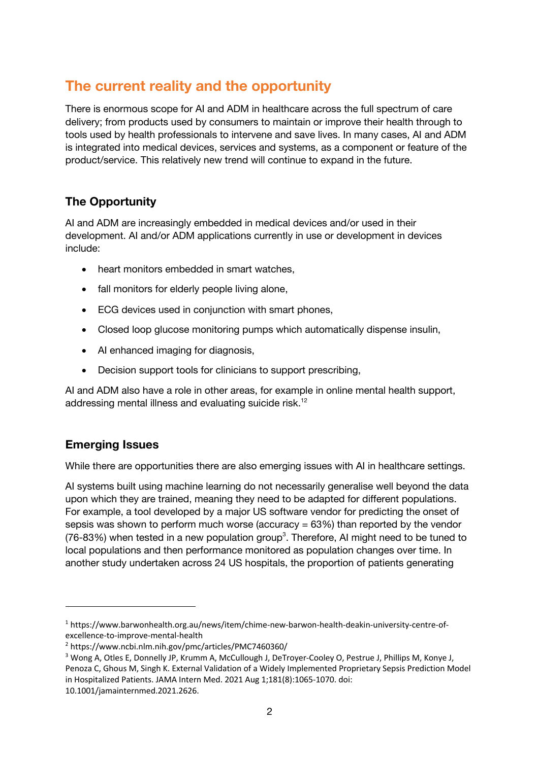## **The current reality and the opportunity**

There is enormous scope for AI and ADM in healthcare across the full spectrum of care delivery; from products used by consumers to maintain or improve their health through to tools used by health professionals to intervene and save lives. In many cases, AI and ADM is integrated into medical devices, services and systems, as a component or feature of the product/service. This relatively new trend will continue to expand in the future.

### **The Opportunity**

AI and ADM are increasingly embedded in medical devices and/or used in their development. AI and/or ADM applications currently in use or development in devices include:

- heart monitors embedded in smart watches,
- fall monitors for elderly people living alone,
- ECG devices used in conjunction with smart phones,
- Closed loop glucose monitoring pumps which automatically dispense insulin,
- AI enhanced imaging for diagnosis,
- Decision support tools for clinicians to support prescribing,

AI and ADM also have a role in other areas, for example in online mental health support, addressing mental illness and evaluating suicide risk.<sup>12</sup>

#### **Emerging Issues**

While there are opportunities there are also emerging issues with AI in healthcare settings.

AI systems built using machine learning do not necessarily generalise well beyond the data upon which they are trained, meaning they need to be adapted for different populations. For example, a tool developed by a major US software vendor for predicting the onset of sepsis was shown to perform much worse (accuracy  $= 63\%$ ) than reported by the vendor  $(76-83%)$  when tested in a new population group<sup>3</sup>. Therefore, AI might need to be tuned to local populations and then performance monitored as population changes over time. In another study undertaken across 24 US hospitals, the proportion of patients generating

<sup>1</sup> https://www.barwonhealth.org.au/news/item/chime-new-barwon-health-deakin-university-centre-ofexcellence-to-improve-mental-health

<sup>2</sup> https://www.ncbi.nlm.nih.gov/pmc/articles/PMC7460360/

<sup>&</sup>lt;sup>3</sup> Wong A, Otles E, Donnelly JP, Krumm A, McCullough J, DeTroyer-Cooley O, Pestrue J, Phillips M, Konye J, Penoza C, Ghous M, Singh K. External Validation of a Widely Implemented Proprietary Sepsis Prediction Model in Hospitalized Patients. JAMA Intern Med. 2021 Aug 1;181(8):1065-1070. doi:

<sup>10.1001/</sup>jamainternmed.2021.2626.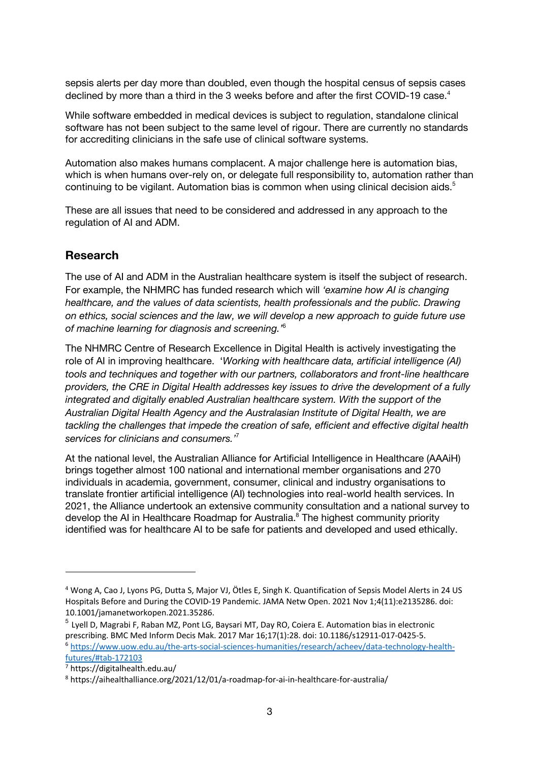sepsis alerts per day more than doubled, even though the hospital census of sepsis cases declined by more than a third in the 3 weeks before and after the first COVID-19 case.<sup>4</sup>

While software embedded in medical devices is subject to regulation, standalone clinical software has not been subject to the same level of rigour. There are currently no standards for accrediting clinicians in the safe use of clinical software systems.

Automation also makes humans complacent. A major challenge here is automation bias, which is when humans over-rely on, or delegate full responsibility to, automation rather than continuing to be vigilant. Automation bias is common when using clinical decision aids.<sup>5</sup>

These are all issues that need to be considered and addressed in any approach to the regulation of AI and ADM.

#### **Research**

The use of AI and ADM in the Australian healthcare system is itself the subject of research. For example, the NHMRC has funded research which will *'examine how AI is changing healthcare, and the values of data scientists, health professionals and the public. Drawing on ethics, social sciences and the law, we will develop a new approach to guide future use of machine learning for diagnosis and screening.'*<sup>6</sup>

The NHMRC Centre of Research Excellence in Digital Health is actively investigating the role of AI in improving healthcare. '*Working with healthcare data, artificial intelligence (AI) tools and techniques and together with our partners, collaborators and front-line healthcare providers, the CRE in Digital Health addresses key issues to drive the development of a fully integrated and digitally enabled Australian healthcare system. With the support of the Australian Digital Health Agency and the Australasian Institute of Digital Health, we are tackling the challenges that impede the creation of safe, efficient and effective digital health services for clinicians and consumers.'*<sup>7</sup>

At the national level, the Australian Alliance for Artificial Intelligence in Healthcare (AAAiH) brings together almost 100 national and international member organisations and 270 individuals in academia, government, consumer, clinical and industry organisations to translate frontier artificial intelligence (AI) technologies into real-world health services. In 2021, the Alliance undertook an extensive community consultation and a national survey to develop the AI in Healthcare Roadmap for Australia.<sup>8</sup> The highest community priority identified was for healthcare AI to be safe for patients and developed and used ethically.

<sup>4</sup> Wong A, Cao J, Lyons PG, Dutta S, Major VJ, Ötles E, Singh K. Quantification of Sepsis Model Alerts in 24 US Hospitals Before and During the COVID-19 Pandemic. JAMA Netw Open. 2021 Nov 1;4(11):e2135286. doi: 10.1001/jamanetworkopen.2021.35286.

 $^5$  Lyell D, Magrabi F, Raban MZ, Pont LG, Baysari MT, Day RO, Coiera E. Automation bias in electronic<br>prescribing. BMC Med Inform Decis Mak. 2017 Mar 16;17(1):28. doi: 10.1186/s12911-017-0425-5.  $6$  https://www.uow.edu.au/the-arts-social-sciences-humanities/research/acheev/data-technology-healthfutures/#tab-172103

<sup>7</sup> https://digitalhealth.edu.au/

<sup>8</sup> https://aihealthalliance.org/2021/12/01/a-roadmap-for-ai-in-healthcare-for-australia/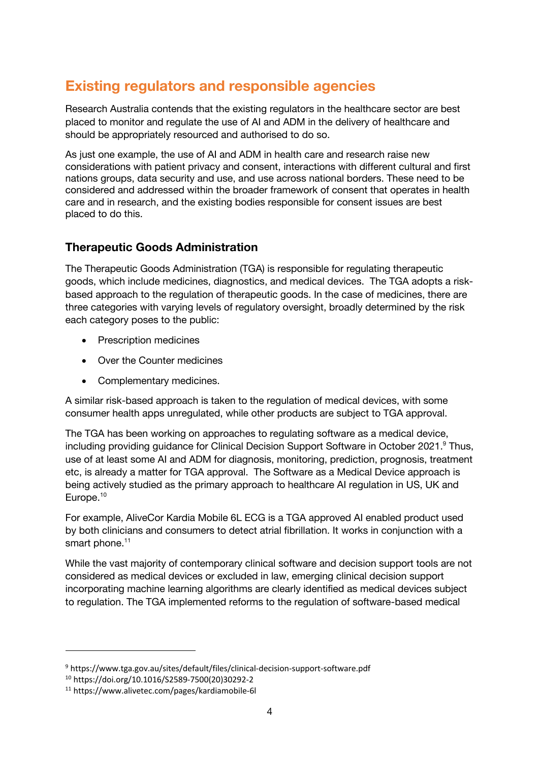## **Existing regulators and responsible agencies**

Research Australia contends that the existing regulators in the healthcare sector are best placed to monitor and regulate the use of AI and ADM in the delivery of healthcare and should be appropriately resourced and authorised to do so.

As just one example, the use of AI and ADM in health care and research raise new considerations with patient privacy and consent, interactions with different cultural and first nations groups, data security and use, and use across national borders. These need to be considered and addressed within the broader framework of consent that operates in health care and in research, and the existing bodies responsible for consent issues are best placed to do this.

#### **Therapeutic Goods Administration**

The Therapeutic Goods Administration (TGA) is responsible for regulating therapeutic goods, which include medicines, diagnostics, and medical devices. The TGA adopts a riskbased approach to the regulation of therapeutic goods. In the case of medicines, there are three categories with varying levels of regulatory oversight, broadly determined by the risk each category poses to the public:

- Prescription medicines
- Over the Counter medicines
- Complementary medicines.

A similar risk-based approach is taken to the regulation of medical devices, with some consumer health apps unregulated, while other products are subject to TGA approval.

The TGA has been working on approaches to regulating software as a medical device, including providing guidance for Clinical Decision Support Software in October 2021. Thus, use of at least some AI and ADM for diagnosis, monitoring, prediction, prognosis, treatment etc, is already a matter for TGA approval. The Software as a Medical Device approach is being actively studied as the primary approach to healthcare AI regulation in US, UK and Europe.<sup>10</sup>

For example, AliveCor Kardia Mobile 6L ECG is a TGA approved AI enabled product used by both clinicians and consumers to detect atrial fibrillation. It works in conjunction with a smart phone.<sup>11</sup>

While the vast majority of contemporary clinical software and decision support tools are not considered as medical devices or excluded in law, emerging clinical decision support incorporating machine learning algorithms are clearly identified as medical devices subject to regulation. The TGA implemented reforms to the regulation of software-based medical

<sup>9</sup> https://www.tga.gov.au/sites/default/files/clinical-decision-support-software.pdf

<sup>10</sup> https://doi.org/10.1016/S2589-7500(20)30292-2

<sup>11</sup> https://www.alivetec.com/pages/kardiamobile-6l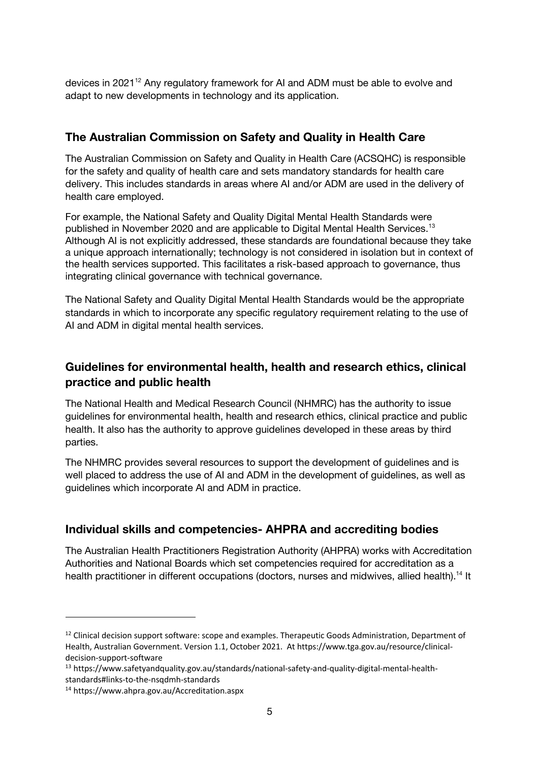devices in 2021<sup>12</sup> Any regulatory framework for AI and ADM must be able to evolve and adapt to new developments in technology and its application.

#### **The Australian Commission on Safety and Quality in Health Care**

The Australian Commission on Safety and Quality in Health Care (ACSQHC) is responsible for the safety and quality of health care and sets mandatory standards for health care delivery. This includes standards in areas where AI and/or ADM are used in the delivery of health care employed.

For example, the National Safety and Quality Digital Mental Health Standards were published in November 2020 and are applicable to Digital Mental Health Services.<sup>13</sup> Although AI is not explicitly addressed, these standards are foundational because they take a unique approach internationally; technology is not considered in isolation but in context of the health services supported. This facilitates a risk-based approach to governance, thus integrating clinical governance with technical governance.

The National Safety and Quality Digital Mental Health Standards would be the appropriate standards in which to incorporate any specific regulatory requirement relating to the use of AI and ADM in digital mental health services.

## **Guidelines for environmental health, health and research ethics, clinical practice and public health**

The National Health and Medical Research Council (NHMRC) has the authority to issue guidelines for environmental health, health and research ethics, clinical practice and public health. It also has the authority to approve guidelines developed in these areas by third parties.

The NHMRC provides several resources to support the development of guidelines and is well placed to address the use of AI and ADM in the development of guidelines, as well as guidelines which incorporate AI and ADM in practice.

#### **Individual skills and competencies- AHPRA and accrediting bodies**

The Australian Health Practitioners Registration Authority (AHPRA) works with Accreditation Authorities and National Boards which set competencies required for accreditation as a health practitioner in different occupations (doctors, nurses and midwives, allied health).<sup>14</sup> It

<sup>&</sup>lt;sup>12</sup> Clinical decision support software: scope and examples. Therapeutic Goods Administration, Department of Health, Australian Government. Version 1.1, October 2021. At https://www.tga.gov.au/resource/clinicaldecision-support-software

<sup>13</sup> https://www.safetyandquality.gov.au/standards/national-safety-and-quality-digital-mental-healthstandards#links-to-the-nsqdmh-standards

<sup>14</sup> https://www.ahpra.gov.au/Accreditation.aspx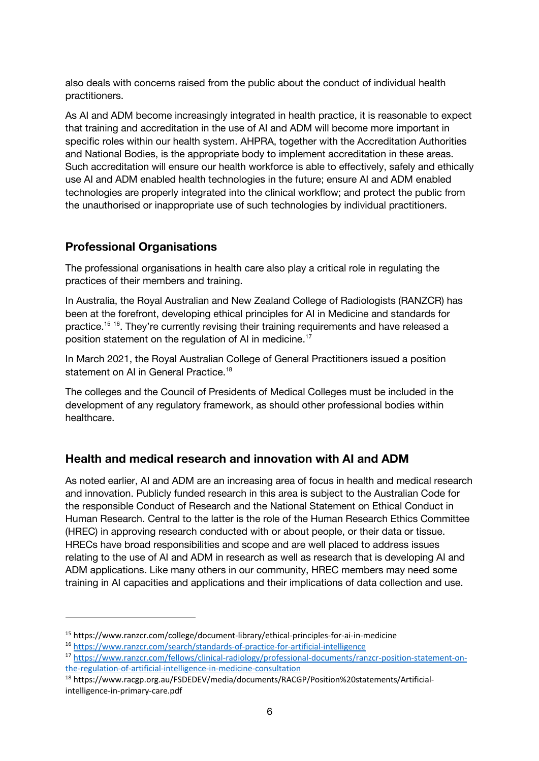also deals with concerns raised from the public about the conduct of individual health practitioners.

As AI and ADM become increasingly integrated in health practice, it is reasonable to expect that training and accreditation in the use of AI and ADM will become more important in specific roles within our health system. AHPRA, together with the Accreditation Authorities and National Bodies, is the appropriate body to implement accreditation in these areas. Such accreditation will ensure our health workforce is able to effectively, safely and ethically use AI and ADM enabled health technologies in the future; ensure AI and ADM enabled technologies are properly integrated into the clinical workflow; and protect the public from the unauthorised or inappropriate use of such technologies by individual practitioners.

#### **Professional Organisations**

The professional organisations in health care also play a critical role in regulating the practices of their members and training.

In Australia, the Royal Australian and New Zealand College of Radiologists (RANZCR) has been at the forefront, developing ethical principles for AI in Medicine and standards for practice.<sup>15 16</sup>. They're currently revising their training requirements and have released a position statement on the regulation of AI in medicine.<sup>17</sup>

In March 2021, the Royal Australian College of General Practitioners issued a position statement on AI in General Practice.<sup>18</sup>

The colleges and the Council of Presidents of Medical Colleges must be included in the development of any regulatory framework, as should other professional bodies within healthcare.

#### **Health and medical research and innovation with AI and ADM**

As noted earlier, AI and ADM are an increasing area of focus in health and medical research and innovation. Publicly funded research in this area is subject to the Australian Code for the responsible Conduct of Research and the National Statement on Ethical Conduct in Human Research. Central to the latter is the role of the Human Research Ethics Committee (HREC) in approving research conducted with or about people, or their data or tissue. HRECs have broad responsibilities and scope and are well placed to address issues relating to the use of AI and ADM in research as well as research that is developing AI and ADM applications. Like many others in our community, HREC members may need some training in AI capacities and applications and their implications of data collection and use.

<sup>15</sup> https://www.ranzcr.com/college/document-library/ethical-principles-for-ai-in-medicine

<sup>16</sup> https://www.ranzcr.com/search/standards-of-practice-for-artificial-intelligence

<sup>17</sup> https://www.ranzcr.com/fellows/clinical-radiology/professional-documents/ranzcr-position-statement-onthe-regulation-of-artificial-intelligence-in-medicine-consultation

<sup>18</sup> https://www.racgp.org.au/FSDEDEV/media/documents/RACGP/Position%20statements/Artificialintelligence-in-primary-care.pdf